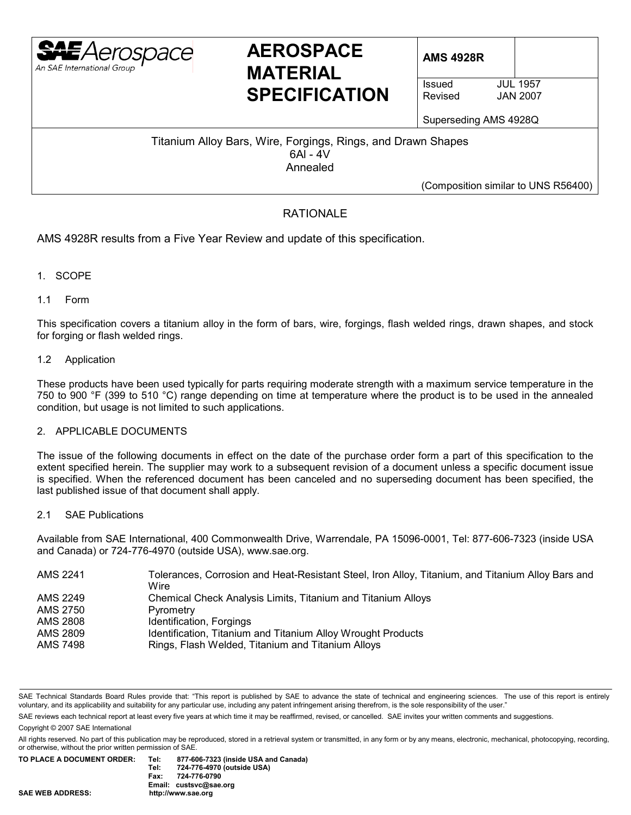

# AEROSPACE | AMS 4928R **MATERIAL SPECIFICATION** SPECIFICATION

**JAN 2007** 

Superseding AMS 4928Q

Titanium Alloy Bars, Wire, Forgings, Rings, and Drawn Shapes 6Al - 4V Annealed

(Composition similar to UNS R56400)

## RATIONALE

AMS 4928R results from a Five Year Review and update of this specification.

- 1. SCOPE
- 1.1 Form

This specification covers a titanium alloy in the form of bars, wire, forgings, flash welded rings, drawn shapes, and stock for forging or flash welded rings.

1.2 Application

These products have been used typically for parts requiring moderate strength with a maximum service temperature in the 750 to 900 °F (399 to 510 °C) range depending on time at temperature where the product is to be used in the annealed condition, but usage is not limited to such applications.

## 2. APPLICABLE DOCUMENTS

The issue of the following documents in effect on the date of the purchase order form a part of this specification to the extent specified herein. The supplier may work to a subsequent revision of a document unless a specific document issue is specified. When the referenced document has been canceled and no superseding document has been specified, the last published issue of that document shall apply.

## 2.1 SAE Publications

Available from SAE International, 400 Commonwealth Drive, Warrendale, PA 15096-0001, Tel: 877-606-7323 (inside USA and Canada) or 724-776-4970 (outside USA), www.sae.org.

| AMS 2241 | Tolerances, Corrosion and Heat-Resistant Steel, Iron Alloy, Titanium, and Titanium Alloy Bars and<br>Wire |
|----------|-----------------------------------------------------------------------------------------------------------|
| AMS 2249 | Chemical Check Analysis Limits, Titanium and Titanium Alloys                                              |
| AMS 2750 | Pyrometry                                                                                                 |
| AMS 2808 | Identification, Forgings                                                                                  |
| AMS 2809 | Identification, Titanium and Titanium Alloy Wrought Products                                              |
| AMS 7498 | Rings, Flash Welded, Titanium and Titanium Alloys                                                         |

SAE Technical Standards Board Rules provide that: "This report is published by SAE to advance the state of technical and engineering sciences. The use of this report is entirely voluntary, and its applicability and suitability for any particular use, including any patent infringement arising therefrom, is the sole responsibility of the user."

SAE reviews each technical report at least every five years at which time it may be reaffirmed, revised, or cancelled. SAE invites your written comments and suggestions.

Copyright © 2007 SAE International

All rights reserved. No part of this publication may be reproduced, stored in a retrieval system or transmitted, in any form or by any means, electronic, mechanical, photocopying, recording, or otherwise, without the prior written permission of SAE.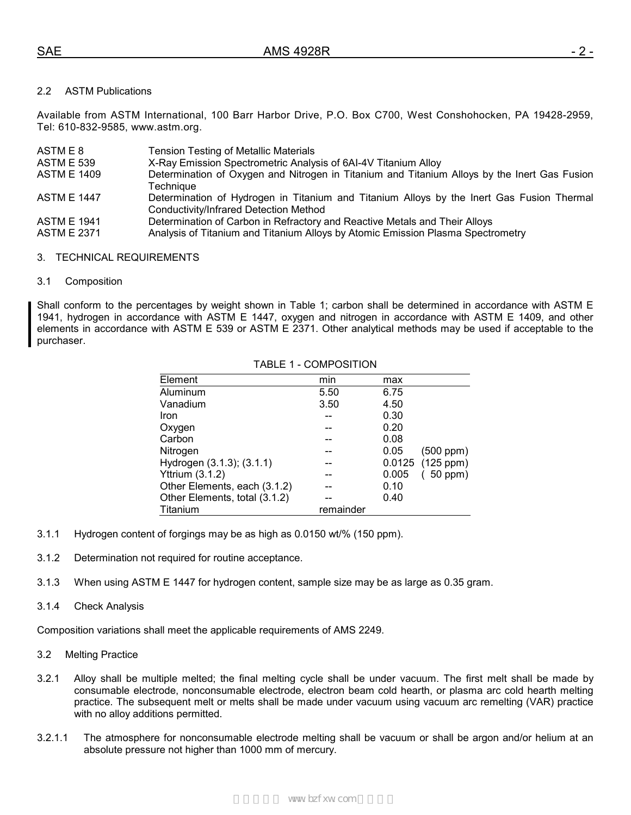## 2.2 ASTM Publications

Available from ASTM International, 100 Barr Harbor Drive, P.O. Box C700, West Conshohocken, PA 19428-2959, Tel: 610-832-9585, www.astm.org.

| ASTM E 8                                 | <b>Tension Testing of Metallic Materials</b>                                                                                                                  |
|------------------------------------------|---------------------------------------------------------------------------------------------------------------------------------------------------------------|
| <b>ASTM E 539</b>                        | X-Ray Emission Spectrometric Analysis of 6AI-4V Titanium Alloy                                                                                                |
| <b>ASTM E 1409</b>                       | Determination of Oxygen and Nitrogen in Titanium and Titanium Alloys by the Inert Gas Fusion<br>Technique                                                     |
| <b>ASTM E 1447</b>                       | Determination of Hydrogen in Titanium and Titanium Alloys by the Inert Gas Fusion Thermal<br><b>Conductivity/Infrared Detection Method</b>                    |
| <b>ASTM E 1941</b><br><b>ASTM E 2371</b> | Determination of Carbon in Refractory and Reactive Metals and Their Alloys<br>Analysis of Titanium and Titanium Alloys by Atomic Emission Plasma Spectrometry |

#### 3. TECHNICAL REQUIREMENTS

#### 3.1 Composition

Shall conform to the percentages by weight shown in Table 1; carbon shall be determined in accordance with ASTM E 1941, hydrogen in accordance with ASTM E 1447, oxygen and nitrogen in accordance with ASTM E 1409, and other elements in accordance with ASTM E 539 or ASTM E 2371. Other analytical methods may be used if acceptable to the purchaser.

| Element                       | min       | max    |                |
|-------------------------------|-----------|--------|----------------|
| Aluminum                      | 5.50      | 6.75   |                |
| Vanadium                      | 3.50      | 4.50   |                |
| Iron                          |           | 0.30   |                |
| Oxygen                        |           | 0.20   |                |
| Carbon                        |           | 0.08   |                |
| Nitrogen                      |           | 0.05   | $(500$ ppm $)$ |
| Hydrogen (3.1.3); (3.1.1)     |           | 0.0125 | $(125$ ppm $)$ |
| <b>Yttrium (3.1.2)</b>        |           | 0.005  | 50 ppm)        |
| Other Elements, each (3.1.2)  |           | 0.10   |                |
| Other Elements, total (3.1.2) |           | 0.40   |                |
| Titanium                      | remainder |        |                |

## TABLE 1 - COMPOSITION

- 3.1.1 Hydrogen content of forgings may be as high as 0.0150 wt/% (150 ppm).
- 3.1.2 Determination not required for routine acceptance.
- 3.1.3 When using ASTM E 1447 for hydrogen content, sample size may be as large as 0.35 gram.
- 3.1.4 Check Analysis

Composition variations shall meet the applicable requirements of AMS 2249.

- 3.2 Melting Practice
- 3.2.1 Alloy shall be multiple melted; the final melting cycle shall be under vacuum. The first melt shall be made by consumable electrode, nonconsumable electrode, electron beam cold hearth, or plasma arc cold hearth melting practice. The subsequent melt or melts shall be made under vacuum using vacuum arc remelting (VAR) practice with no alloy additions permitted.
- 3.2.1.1 The atmosphere for nonconsumable electrode melting shall be vacuum or shall be argon and/or helium at an absolute pressure not higher than 1000 mm of mercury.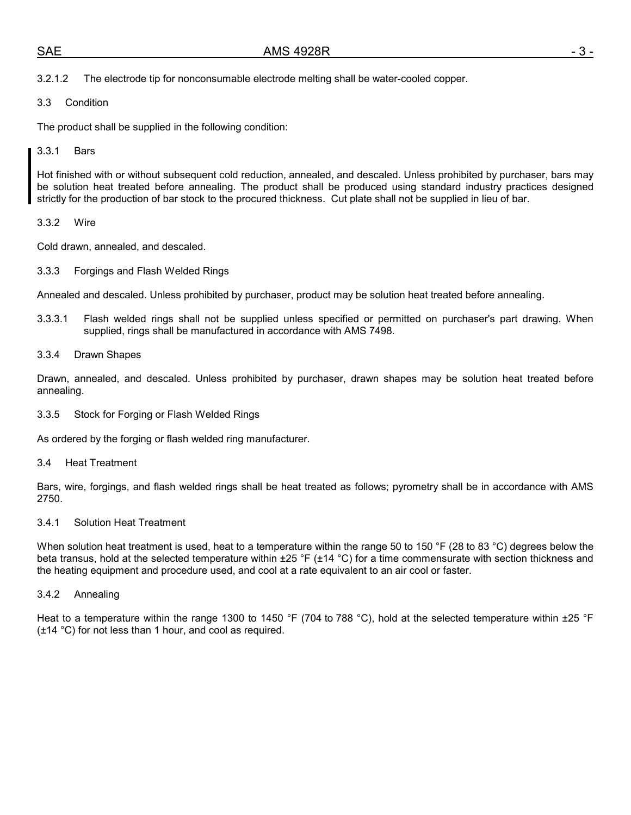3.3 Condition

The product shall be supplied in the following condition:

## 3.3.1 Bars

Hot finished with or without subsequent cold reduction, annealed, and descaled. Unless prohibited by purchaser, bars may be solution heat treated before annealing. The product shall be produced using standard industry practices designed strictly for the production of bar stock to the procured thickness. Cut plate shall not be supplied in lieu of bar.

## 3.3.2 Wire

Cold drawn, annealed, and descaled.

3.3.3 Forgings and Flash Welded Rings

Annealed and descaled. Unless prohibited by purchaser, product may be solution heat treated before annealing.

3.3.3.1 Flash welded rings shall not be supplied unless specified or permitted on purchaser's part drawing. When supplied, rings shall be manufactured in accordance with AMS 7498.

## 3.3.4 Drawn Shapes

Drawn, annealed, and descaled. Unless prohibited by purchaser, drawn shapes may be solution heat treated before annealing.

3.3.5 Stock for Forging or Flash Welded Rings

As ordered by the forging or flash welded ring manufacturer.

3.4 Heat Treatment

Bars, wire, forgings, and flash welded rings shall be heat treated as follows; pyrometry shall be in accordance with AMS 2750.

#### 3.4.1 Solution Heat Treatment

When solution heat treatment is used, heat to a temperature within the range 50 to 150 °F (28 to 83 °C) degrees below the beta transus, hold at the selected temperature within  $\pm 25$  °F ( $\pm 14$  °C) for a time commensurate with section thickness and the heating equipment and procedure used, and cool at a rate equivalent to an air cool or faster.

3.4.2 Annealing

Heat to a temperature within the range 1300 to 1450 °F (704 to 788 °C), hold at the selected temperature within  $\pm$ 25 °F (±14 °C) for not less than 1 hour, and cool as required.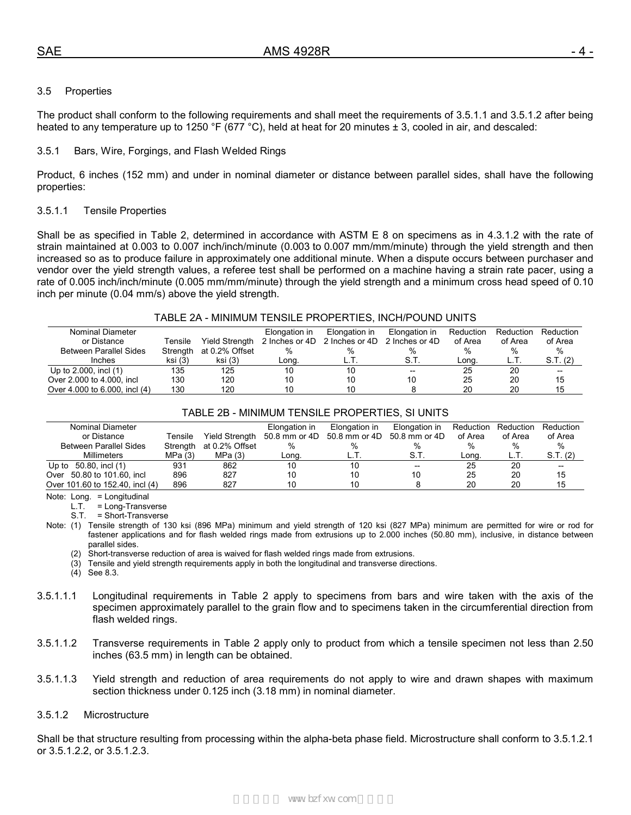## 3.5 Properties

The product shall conform to the following requirements and shall meet the requirements of 3.5.1.1 and 3.5.1.2 after being heated to any temperature up to 1250 °F (677 °C), held at heat for 20 minutes  $\pm$  3, cooled in air, and descaled:

#### 3.5.1 Bars, Wire, Forgings, and Flash Welded Rings

Product, 6 inches (152 mm) and under in nominal diameter or distance between parallel sides, shall have the following properties:

#### 3.5.1.1 Tensile Properties

Shall be as specified in Table 2, determined in accordance with ASTM E 8 on specimens as in 4.3.1.2 with the rate of strain maintained at 0.003 to 0.007 inch/inch/minute (0.003 to 0.007 mm/mm/minute) through the yield strength and then increased so as to produce failure in approximately one additional minute. When a dispute occurs between purchaser and vendor over the yield strength values, a referee test shall be performed on a machine having a strain rate pacer, using a rate of 0.005 inch/inch/minute (0.005 mm/mm/minute) through the yield strength and a minimum cross head speed of 0.10 inch per minute (0.04 mm/s) above the yield strength.

#### TABLE 2A - MINIMUM TENSILE PROPERTIES, INCH/POUND UNITS

| Nominal Diameter              |          |                | Elongation in | Elongation in                 | Elongation in  | Reduction | Reduction | Reduction |
|-------------------------------|----------|----------------|---------------|-------------------------------|----------------|-----------|-----------|-----------|
| or Distance                   | Tensile  | Yield Strength |               | 2 Inches or 4D 2 Inches or 4D | 2 Inches or 4D | of Area   | of Area   | of Area   |
| <b>Between Parallel Sides</b> | Strenath | at 0.2% Offset | %             | $\%$                          |                | %         | %         | %         |
| Inches                        | ksi (3)  | ksi (3)        | Long.         |                               | S.T.           | Lona.     |           | S.T. (2)  |
| Up to 2.000, incl (1)         | 135      | 125            | 10            | 10                            | $- -$          | 25        | 20        | --        |
| Over 2.000 to 4.000, incl.    | 130      | 120            | 10            | 10                            |                | 25        | 20        | 15        |
| Over 4.000 to 6.000, incl (4) | 130      | 120            | 10            | 10                            |                | 20        | 20        | 15        |

## TABLE 2B - MINIMUM TENSILE PROPERTIES, SI UNITS

| Nominal Diameter                |          |                | Elongation in                                            | Elongation in | Elongation in                         | Reduction | Reduction | Reduction |
|---------------------------------|----------|----------------|----------------------------------------------------------|---------------|---------------------------------------|-----------|-----------|-----------|
| or Distance                     | Tensile  |                | Yield Strength 50.8 mm or 4D 50.8 mm or 4D 50.8 mm or 4D |               |                                       | of Area   | of Area   | of Area   |
| <b>Between Parallel Sides</b>   | Strength | at 0.2% Offset | %                                                        | %             |                                       |           |           | %         |
| <b>Millimeters</b>              | MPa(3)   | MPa(3)         | Long.                                                    | L.I           | S.T.                                  | Lona      |           | S.T. (2)  |
| Up to $50.80$ , incl $(1)$      | 931      | 862            | 10                                                       |               | $\hspace{0.05cm}$ – $\hspace{0.05cm}$ | 25        | 20        | --        |
| Over 50.80 to 101.60, incl      | 896      | 827            | 10                                                       |               | 10                                    | 25        | 20        | 15        |
| Over 101.60 to 152.40, incl (4) | 896      | 827            | 10                                                       |               |                                       | 20        | 20        | 15        |

Note: Long. = Longitudinal

L.T. = Long-Transverse

S.T. = Short-Transverse

Note: (1) Tensile strength of 130 ksi (896 MPa) minimum and yield strength of 120 ksi (827 MPa) minimum are permitted for wire or rod for fastener applications and for flash welded rings made from extrusions up to 2.000 inches (50.80 mm), inclusive, in distance between parallel sides.

(2) Short-transverse reduction of area is waived for flash welded rings made from extrusions.

(3) Tensile and yield strength requirements apply in both the longitudinal and transverse directions.

(4) See 8.3.

- 3.5.1.1.1 Longitudinal requirements in Table 2 apply to specimens from bars and wire taken with the axis of the specimen approximately parallel to the grain flow and to specimens taken in the circumferential direction from flash welded rings.
- 3.5.1.1.2 Transverse requirements in Table 2 apply only to product from which a tensile specimen not less than 2.50 inches (63.5 mm) in length can be obtained.
- 3.5.1.1.3 Yield strength and reduction of area requirements do not apply to wire and drawn shapes with maximum section thickness under 0.125 inch (3.18 mm) in nominal diameter.

## 3.5.1.2 Microstructure

Shall be that structure resulting from processing within the alpha-beta phase field. Microstructure shall conform to 3.5.1.2.1 or 3.5.1.2.2, or 3.5.1.2.3.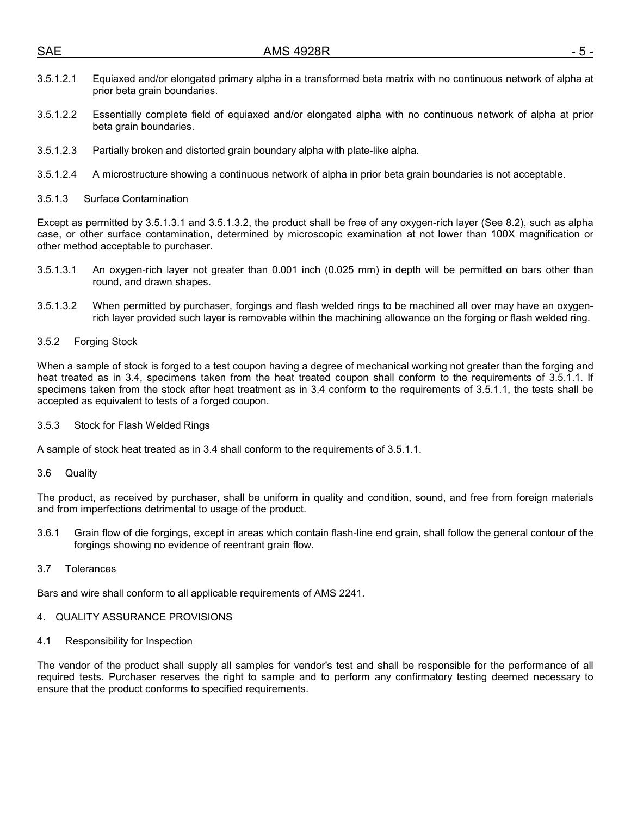| <b>SAE</b> | <b>AMS 4928R</b>                                                                                                                            |  |
|------------|---------------------------------------------------------------------------------------------------------------------------------------------|--|
| 3.5.1.2.1  | Equiaxed and/or elongated primary alpha in a transformed beta matrix with no continuous network of alpha at<br>prior beta grain boundaries. |  |

- 3.5.1.2.2 Essentially complete field of equiaxed and/or elongated alpha with no continuous network of alpha at prior beta grain boundaries.
- 3.5.1.2.3 Partially broken and distorted grain boundary alpha with plate-like alpha.
- 3.5.1.2.4 A microstructure showing a continuous network of alpha in prior beta grain boundaries is not acceptable.
- 3.5.1.3 Surface Contamination

Except as permitted by 3.5.1.3.1 and 3.5.1.3.2, the product shall be free of any oxygen-rich layer (See 8.2), such as alpha case, or other surface contamination, determined by microscopic examination at not lower than 100X magnification or other method acceptable to purchaser.

- 3.5.1.3.1 An oxygen-rich layer not greater than 0.001 inch (0.025 mm) in depth will be permitted on bars other than round, and drawn shapes.
- 3.5.1.3.2 When permitted by purchaser, forgings and flash welded rings to be machined all over may have an oxygenrich layer provided such layer is removable within the machining allowance on the forging or flash welded ring.
- 3.5.2 Forging Stock

When a sample of stock is forged to a test coupon having a degree of mechanical working not greater than the forging and heat treated as in 3.4, specimens taken from the heat treated coupon shall conform to the requirements of 3.5.1.1. If specimens taken from the stock after heat treatment as in 3.4 conform to the requirements of 3.5.1.1, the tests shall be accepted as equivalent to tests of a forged coupon.

3.5.3 Stock for Flash Welded Rings

A sample of stock heat treated as in 3.4 shall conform to the requirements of 3.5.1.1.

3.6 Quality

The product, as received by purchaser, shall be uniform in quality and condition, sound, and free from foreign materials and from imperfections detrimental to usage of the product.

- 3.6.1 Grain flow of die forgings, except in areas which contain flash-line end grain, shall follow the general contour of the forgings showing no evidence of reentrant grain flow.
- 3.7 Tolerances

Bars and wire shall conform to all applicable requirements of AMS 2241.

## 4. QUALITY ASSURANCE PROVISIONS

4.1 Responsibility for Inspection

The vendor of the product shall supply all samples for vendor's test and shall be responsible for the performance of all required tests. Purchaser reserves the right to sample and to perform any confirmatory testing deemed necessary to ensure that the product conforms to specified requirements.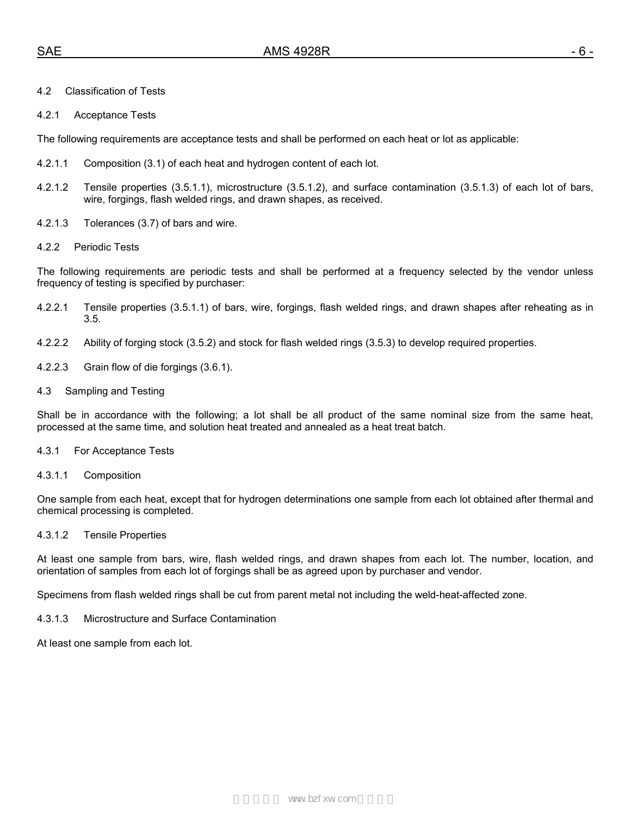## 4.2 Classification of Tests

#### 4.2.1 Acceptance Tests

The following requirements are acceptance tests and shall be performed on each heat or lot as applicable:

- 4.2.1.1 Composition (3.1) of each heat and hydrogen content of each lot.
- 4.2.1.2 Tensile properties (3.5.1.1), microstructure (3.5.1.2), and surface contamination (3.5.1.3) of each lot of bars, wire, forgings, flash welded rings, and drawn shapes, as received.
- 4.2.1.3 Tolerances (3.7) of bars and wire.
- 4.2.2 Periodic Tests

The following requirements are periodic tests and shall be performed at a frequency selected by the vendor unless frequency of testing is specified by purchaser:

- 4.2.2.1 Tensile properties (3.5.1.1) of bars, wire, forgings, flash welded rings, and drawn shapes after reheating as in 3.5.
- 4.2.2.2 Ability of forging stock (3.5.2) and stock for flash welded rings (3.5.3) to develop required properties.
- 4.2.2.3 Grain flow of die forgings (3.6.1).
- 4.3 Sampling and Testing

Shall be in accordance with the following; a lot shall be all product of the same nominal size from the same heat, processed at the same time, and solution heat treated and annealed as a heat treat batch.

#### 4.3.1 For Acceptance Tests

4.3.1.1 Composition

One sample from each heat, except that for hydrogen determinations one sample from each lot obtained after thermal and chemical processing is completed.

#### 4.3.1.2 Tensile Properties

At least one sample from bars, wire, flash welded rings, and drawn shapes from each lot. The number, location, and orientation of samples from each lot of forgings shall be as agreed upon by purchaser and vendor.

Specimens from flash welded rings shall be cut from parent metal not including the weld-heat-affected zone.

#### 4.3.1.3 Microstructure and Surface Contamination

At least one sample from each lot.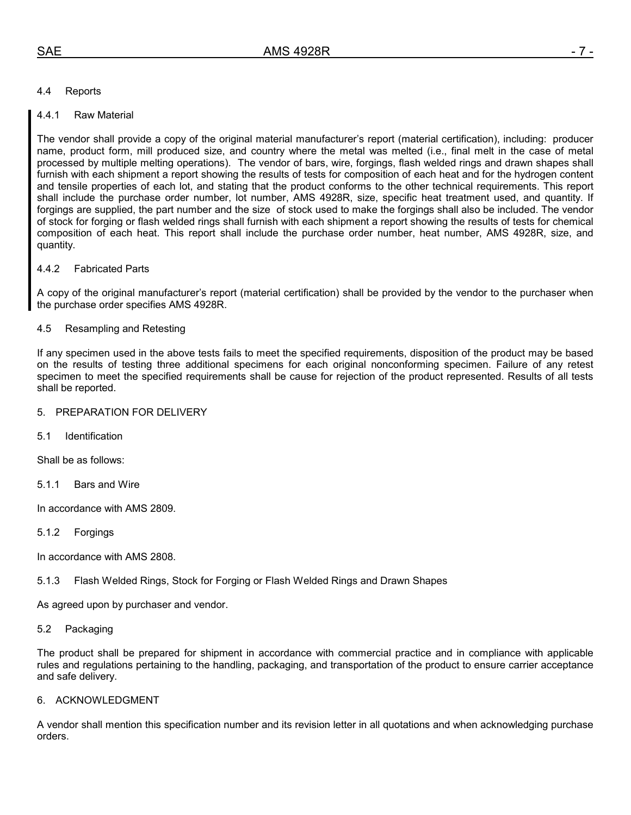## 4.4 Reports

## 4.4.1 Raw Material

The vendor shall provide a copy of the original material manufacturer's report (material certification), including: producer name, product form, mill produced size, and country where the metal was melted (i.e., final melt in the case of metal processed by multiple melting operations). The vendor of bars, wire, forgings, flash welded rings and drawn shapes shall furnish with each shipment a report showing the results of tests for composition of each heat and for the hydrogen content and tensile properties of each lot, and stating that the product conforms to the other technical requirements. This report shall include the purchase order number, lot number, AMS 4928R, size, specific heat treatment used, and quantity. If forgings are supplied, the part number and the size of stock used to make the forgings shall also be included. The vendor of stock for forging or flash welded rings shall furnish with each shipment a report showing the results of tests for chemical composition of each heat. This report shall include the purchase order number, heat number, AMS 4928R, size, and quantity.

## 4.4.2 Fabricated Parts

A copy of the original manufacturer's report (material certification) shall be provided by the vendor to the purchaser when the purchase order specifies AMS 4928R.

## 4.5 Resampling and Retesting

If any specimen used in the above tests fails to meet the specified requirements, disposition of the product may be based on the results of testing three additional specimens for each original nonconforming specimen. Failure of any retest specimen to meet the specified requirements shall be cause for rejection of the product represented. Results of all tests shall be reported.

#### 5. PREPARATION FOR DELIVERY

5.1 Identification

Shall be as follows:

5.1.1 Bars and Wire

In accordance with AMS 2809.

#### 5.1.2 Forgings

In accordance with AMS 2808.

5.1.3 Flash Welded Rings, Stock for Forging or Flash Welded Rings and Drawn Shapes

As agreed upon by purchaser and vendor.

#### 5.2 Packaging

The product shall be prepared for shipment in accordance with commercial practice and in compliance with applicable rules and regulations pertaining to the handling, packaging, and transportation of the product to ensure carrier acceptance and safe delivery.

#### 6. ACKNOWLEDGMENT

A vendor shall mention this specification number and its revision letter in all quotations and when acknowledging purchase orders.